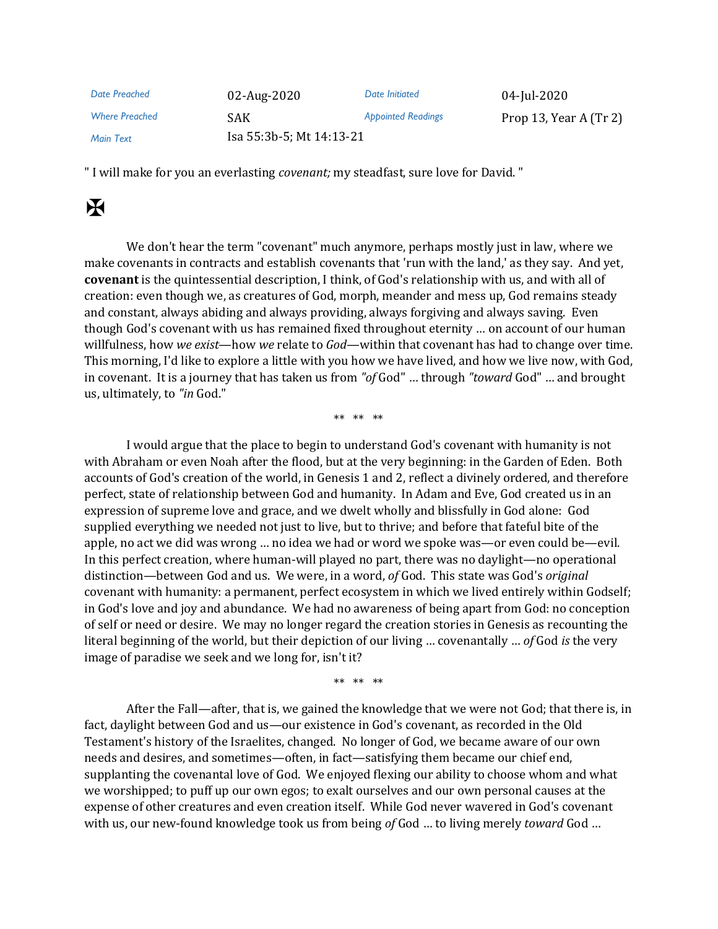| Date Preached         | 02-Aug-2020              | Date Initiated            | 04-Jul-2020              |
|-----------------------|--------------------------|---------------------------|--------------------------|
| <b>Where Preached</b> | SAK.                     | <b>Appointed Readings</b> | Prop 13, Year A $(Tr 2)$ |
| <b>Main Text</b>      | Isa 55:3b-5; Mt 14:13-21 |                           |                          |

" I will make for you an everlasting *covenant;* my steadfast, sure love for David. "

## $\mathbf H$

We don't hear the term "covenant" much anymore, perhaps mostly just in law, where we make covenants in contracts and establish covenants that 'run with the land,' as they say. And yet, **covenant** is the quintessential description, I think, of God's relationship with us, and with all of creation: even though we, as creatures of God, morph, meander and mess up, God remains steady and constant, always abiding and always providing, always forgiving and always saving. Even though God's covenant with us has remained fixed throughout eternity … on account of our human willfulness, how *we exist*—how *we* relate to *God*—within that covenant has had to change over time. This morning, I'd like to explore a little with you how we have lived, and how we live now, with God, in covenant. It is a journey that has taken us from *"of* God" … through *"toward* God" … and brought us, ultimately, to *"in* God."

\*\* \*\* \*\*

I would argue that the place to begin to understand God's covenant with humanity is not with Abraham or even Noah after the flood, but at the very beginning: in the Garden of Eden. Both accounts of God's creation of the world, in Genesis 1 and 2, reflect a divinely ordered, and therefore perfect, state of relationship between God and humanity. In Adam and Eve, God created us in an expression of supreme love and grace, and we dwelt wholly and blissfully in God alone: God supplied everything we needed not just to live, but to thrive; and before that fateful bite of the apple, no act we did was wrong … no idea we had or word we spoke was—or even could be—evil. In this perfect creation, where human-will played no part, there was no daylight—no operational distinction—between God and us. We were, in a word, *of* God. This state was God's *original*  covenant with humanity: a permanent, perfect ecosystem in which we lived entirely within Godself; in God's love and joy and abundance. We had no awareness of being apart from God: no conception of self or need or desire. We may no longer regard the creation stories in Genesis as recounting the literal beginning of the world, but their depiction of our living … covenantally … *of* God *is* the very image of paradise we seek and we long for, isn't it?

\*\* \*\* \*\*

After the Fall—after, that is, we gained the knowledge that we were not God; that there is, in fact, daylight between God and us—our existence in God's covenant, as recorded in the Old Testament's history of the Israelites, changed. No longer of God, we became aware of our own needs and desires, and sometimes—often, in fact—satisfying them became our chief end, supplanting the covenantal love of God. We enjoyed flexing our ability to choose whom and what we worshipped; to puff up our own egos; to exalt ourselves and our own personal causes at the expense of other creatures and even creation itself. While God never wavered in God's covenant with us, our new-found knowledge took us from being *of* God … to living merely *toward* God …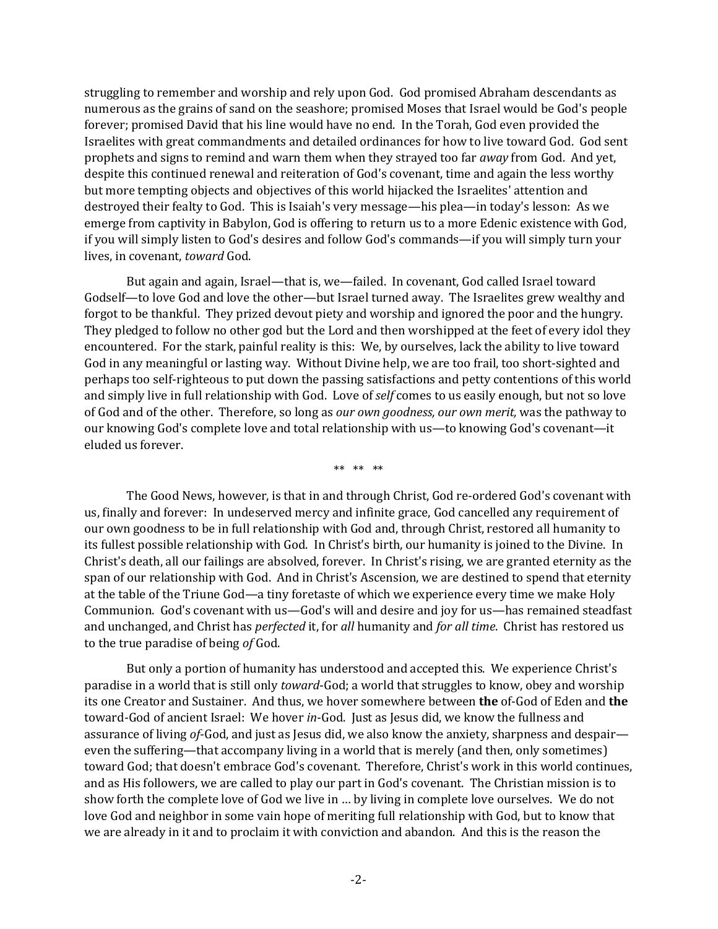struggling to remember and worship and rely upon God. God promised Abraham descendants as numerous as the grains of sand on the seashore; promised Moses that Israel would be God's people forever; promised David that his line would have no end. In the Torah, God even provided the Israelites with great commandments and detailed ordinances for how to live toward God. God sent prophets and signs to remind and warn them when they strayed too far *away* from God. And yet, despite this continued renewal and reiteration of God's covenant, time and again the less worthy but more tempting objects and objectives of this world hijacked the Israelites' attention and destroyed their fealty to God. This is Isaiah's very message—his plea—in today's lesson: As we emerge from captivity in Babylon, God is offering to return us to a more Edenic existence with God, if you will simply listen to God's desires and follow God's commands—if you will simply turn your lives, in covenant, *toward* God.

But again and again, Israel—that is, we—failed. In covenant, God called Israel toward Godself—to love God and love the other—but Israel turned away. The Israelites grew wealthy and forgot to be thankful. They prized devout piety and worship and ignored the poor and the hungry. They pledged to follow no other god but the Lord and then worshipped at the feet of every idol they encountered. For the stark, painful reality is this: We, by ourselves, lack the ability to live toward God in any meaningful or lasting way. Without Divine help, we are too frail, too short-sighted and perhaps too self-righteous to put down the passing satisfactions and petty contentions of this world and simply live in full relationship with God. Love of *self* comes to us easily enough, but not so love of God and of the other. Therefore, so long as *our own goodness, our own merit,* was the pathway to our knowing God's complete love and total relationship with us—to knowing God's covenant—it eluded us forever.

\*\* \*\* \*\*

The Good News, however, is that in and through Christ, God re-ordered God's covenant with us, finally and forever: In undeserved mercy and infinite grace, God cancelled any requirement of our own goodness to be in full relationship with God and, through Christ, restored all humanity to its fullest possible relationship with God. In Christ's birth, our humanity is joined to the Divine. In Christ's death, all our failings are absolved, forever. In Christ's rising, we are granted eternity as the span of our relationship with God. And in Christ's Ascension, we are destined to spend that eternity at the table of the Triune God—a tiny foretaste of which we experience every time we make Holy Communion. God's covenant with us—God's will and desire and joy for us—has remained steadfast and unchanged, and Christ has *perfected* it, for *all* humanity and *for all time*. Christ has restored us to the true paradise of being *of* God.

But only a portion of humanity has understood and accepted this. We experience Christ's paradise in a world that is still only *toward*-God; a world that struggles to know, obey and worship its one Creator and Sustainer. And thus, we hover somewhere between **the** of-God of Eden and **the** toward-God of ancient Israel: We hover *in*-God. Just as Jesus did, we know the fullness and assurance of living *of*-God, and just as Jesus did, we also know the anxiety, sharpness and despair even the suffering—that accompany living in a world that is merely (and then, only sometimes) toward God; that doesn't embrace God's covenant. Therefore, Christ's work in this world continues, and as His followers, we are called to play our part in God's covenant. The Christian mission is to show forth the complete love of God we live in … by living in complete love ourselves. We do not love God and neighbor in some vain hope of meriting full relationship with God, but to know that we are already in it and to proclaim it with conviction and abandon. And this is the reason the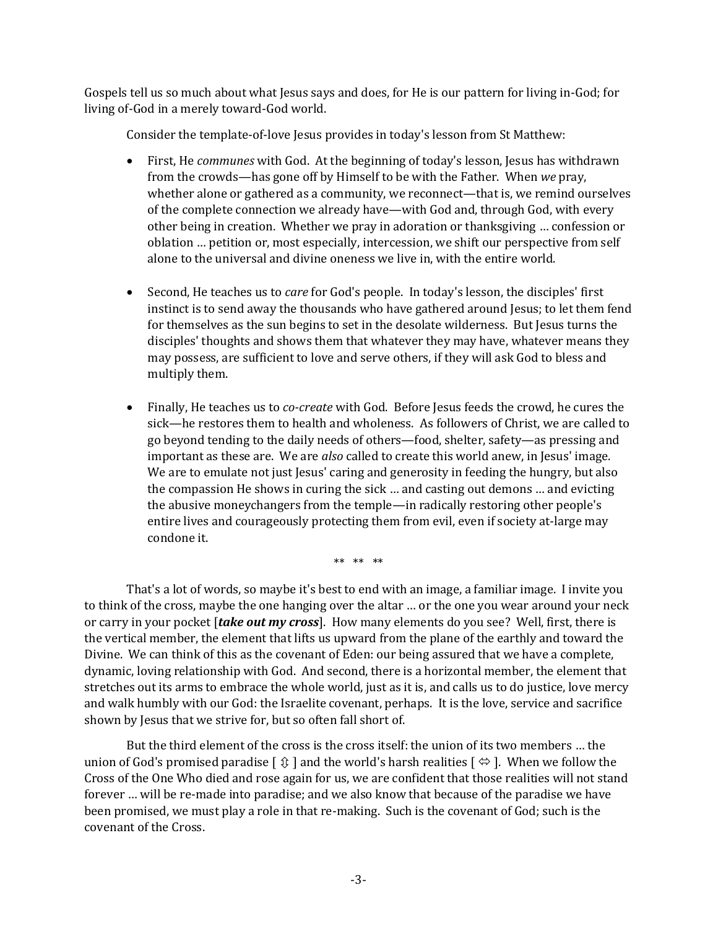Gospels tell us so much about what Jesus says and does, for He is our pattern for living in-God; for living of-God in a merely toward-God world.

Consider the template-of-love Jesus provides in today's lesson from St Matthew:

- First, He *communes* with God. At the beginning of today's lesson, Jesus has withdrawn from the crowds—has gone off by Himself to be with the Father. When *we* pray, whether alone or gathered as a community, we reconnect—that is, we remind ourselves of the complete connection we already have—with God and, through God, with every other being in creation. Whether we pray in adoration or thanksgiving … confession or oblation … petition or, most especially, intercession, we shift our perspective from self alone to the universal and divine oneness we live in, with the entire world.
- Second, He teaches us to *care* for God's people. In today's lesson, the disciples' first instinct is to send away the thousands who have gathered around Jesus; to let them fend for themselves as the sun begins to set in the desolate wilderness. But Jesus turns the disciples' thoughts and shows them that whatever they may have, whatever means they may possess, are sufficient to love and serve others, if they will ask God to bless and multiply them.
- Finally, He teaches us to *co-create* with God. Before Jesus feeds the crowd, he cures the sick—he restores them to health and wholeness. As followers of Christ, we are called to go beyond tending to the daily needs of others—food, shelter, safety—as pressing and important as these are. We are *also* called to create this world anew, in Jesus' image. We are to emulate not just Jesus' caring and generosity in feeding the hungry, but also the compassion He shows in curing the sick … and casting out demons … and evicting the abusive moneychangers from the temple—in radically restoring other people's entire lives and courageously protecting them from evil, even if society at-large may condone it.

\*\* \*\* \*\*

That's a lot of words, so maybe it's best to end with an image, a familiar image. I invite you to think of the cross, maybe the one hanging over the altar … or the one you wear around your neck or carry in your pocket [*take out my cross*]. How many elements do you see? Well, first, there is the vertical member, the element that lifts us upward from the plane of the earthly and toward the Divine. We can think of this as the covenant of Eden: our being assured that we have a complete, dynamic, loving relationship with God. And second, there is a horizontal member, the element that stretches out its arms to embrace the whole world, just as it is, and calls us to do justice, love mercy and walk humbly with our God: the Israelite covenant, perhaps. It is the love, service and sacrifice shown by Jesus that we strive for, but so often fall short of.

But the third element of the cross is the cross itself: the union of its two members … the union of God's promised paradise  $[\hat{x}]$  and the world's harsh realities  $[\hat{\Leftrightarrow}]$ . When we follow the Cross of the One Who died and rose again for us, we are confident that those realities will not stand forever … will be re-made into paradise; and we also know that because of the paradise we have been promised, we must play a role in that re-making. Such is the covenant of God; such is the covenant of the Cross.